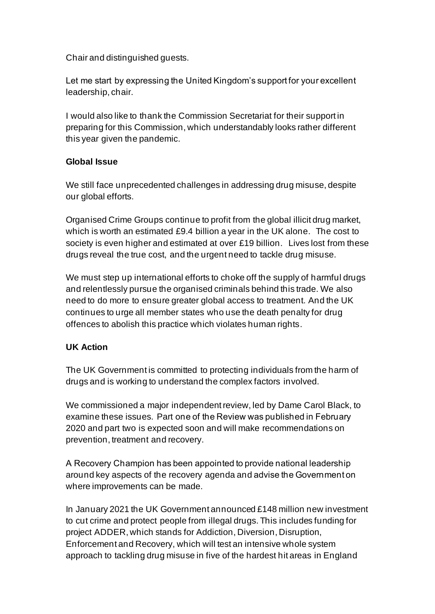Chair and distinguished guests.

Let me start by expressing the United Kingdom's support for your excellent leadership, chair.

I would also like to thank the Commission Secretariat for their support in preparing for this Commission, which understandably looks rather different this year given the pandemic.

### **Global Issue**

We still face unprecedented challenges in addressing drug misuse, despite our global efforts.

Organised Crime Groups continue to profit from the global illicit drug market, which is worth an estimated £9.4 billion a year in the UK alone.   The cost to society is even higher and estimated at over £19 billion. Lives lost from these drugs reveal the true cost, and the urgent need to tackle drug misuse.

We must step up international efforts to choke off the supply of harmful drugs and relentlessly pursue the organised criminals behind this trade. We also need to do more to ensure greater global access to treatment. And the UK continues to urge all member states who use the death penalty for drug offences to abolish this practice which violates human rights.

## **UK Action**

The UK Government is committed to protecting individuals from the harm of drugs and is working to understand the complex factors involved.

We commissioned a major independent review, led by Dame Carol Black, to examine these issues. Part one of the Review was published in February 2020 and part two is expected soon and will make recommendations on prevention, treatment and recovery.

A Recovery Champion has been appointed to provide national leadership around key aspects of the recovery agenda and advise the Government on where improvements can be made.

In January 2021 the UK Government announced £148 million new investment to cut crime and protect people from illegal drugs. This includes funding for project ADDER, which stands for Addiction, Diversion, Disruption, Enforcement and Recovery, which will test an intensive whole system approach to tackling drug misuse in five of the hardest hit areas in England